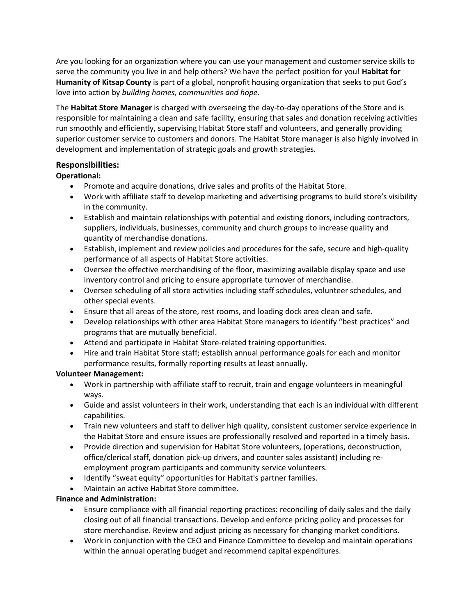Are you looking for an organization where you can use your management and customer service skills to serve the community you live in and help others? We have the perfect position for you! **Habitat for Humanity of Kitsap County** is part of a global, nonprofit housing organization that seeks to put God's love into action by *building homes, communities and hope.*

The **Habitat Store Manager** is charged with overseeing the day-to-day operations of the Store and is responsible for maintaining a clean and safe facility, ensuring that sales and donation receiving activities run smoothly and efficiently, supervising Habitat Store staff and volunteers, and generally providing superior customer service to customers and donors. The Habitat Store manager is also highly involved in development and implementation of strategic goals and growth strategies.

# **Responsibilities:**

# **Operational:**

- Promote and acquire donations, drive sales and profits of the Habitat Store.
- Work with affiliate staff to develop marketing and advertising programs to build store's visibility in the community.
- Establish and maintain relationships with potential and existing donors, including contractors, suppliers, individuals, businesses, community and church groups to increase quality and quantity of merchandise donations.
- Establish, implement and review policies and procedures for the safe, secure and high-quality performance of all aspects of Habitat Store activities.
- Oversee the effective merchandising of the floor, maximizing available display space and use inventory control and pricing to ensure appropriate turnover of merchandise.
- Oversee scheduling of all store activities including staff schedules, volunteer schedules, and other special events.
- Ensure that all areas of the store, rest rooms, and loading dock area clean and safe.
- Develop relationships with other area Habitat Store managers to identify "best practices" and programs that are mutually beneficial.
- Attend and participate in Habitat Store-related training opportunities.
- Hire and train Habitat Store staff; establish annual performance goals for each and monitor performance results, formally reporting results at least annually.

## **Volunteer Management:**

- Work in partnership with affiliate staff to recruit, train and engage volunteers in meaningful ways.
- Guide and assist volunteers in their work, understanding that each is an individual with different capabilities.
- Train new volunteers and staff to deliver high quality, consistent customer service experience in the Habitat Store and ensure issues are professionally resolved and reported in a timely basis.
- Provide direction and supervision for Habitat Store volunteers, (operations, deconstruction, office/clerical staff, donation pick-up drivers, and counter sales assistant) including reemployment program participants and community service volunteers.
- Identify "sweat equity" opportunities for Habitat's partner families.
- Maintain an active Habitat Store committee.

## **Finance and Administration:**

- Ensure compliance with all financial reporting practices: reconciling of daily sales and the daily closing out of all financial transactions. Develop and enforce pricing policy and processes for store merchandise. Review and adjust pricing as necessary for changing market conditions.
- Work in conjunction with the CEO and Finance Committee to develop and maintain operations within the annual operating budget and recommend capital expenditures.